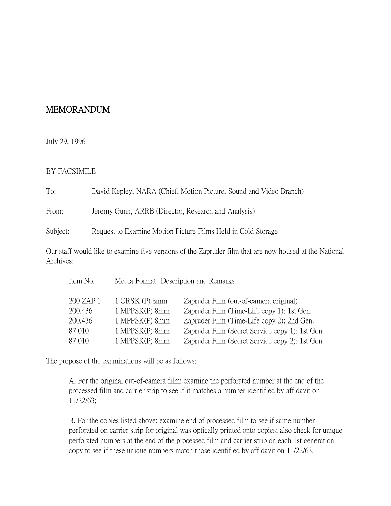## MEMORANDUM

July 29, 1996

## BY FACSIMILE

To: David Kepley, NARA (Chief, Motion Picture, Sound and Video Branch)

From: Jeremy Gunn, ARRB (Director, Research and Analysis)

Subject: Request to Examine Motion Picture Films Held in Cold Storage

Our staff would like to examine five versions of the Zapruder film that are now housed at the National Archives:

| Item No.  | Media Format Description and Remarks |                                                 |
|-----------|--------------------------------------|-------------------------------------------------|
| 200 ZAP 1 | 1 ORSK (P) 8mm                       | Zapruder Film (out-of-camera original)          |
| 200.436   | 1 MPPSK(P) 8mm                       | Zapruder Film (Time-Life copy 1): 1st Gen.      |
| 200.436   | 1 MPPSK(P) 8mm                       | Zapruder Film (Time-Life copy 2): 2nd Gen.      |
| 87.010    | 1 MPPSK(P) 8mm                       | Zapruder Film (Secret Service copy 1): 1st Gen. |
| 87.010    | 1 MPPSK(P) 8mm                       | Zapruder Film (Secret Service copy 2): 1st Gen. |

The purpose of the examinations will be as follows:

A. For the original out-of-camera film: examine the perforated number at the end of the processed film and carrier strip to see if it matches a number identified by affidavit on 11/22/63;

B. For the copies listed above: examine end of processed film to see if same number perforated on carrier strip for original was optically printed onto copies; also check for unique perforated numbers at the end of the processed film and carrier strip on each 1st generation copy to see if these unique numbers match those identified by affidavit on 11/22/63.